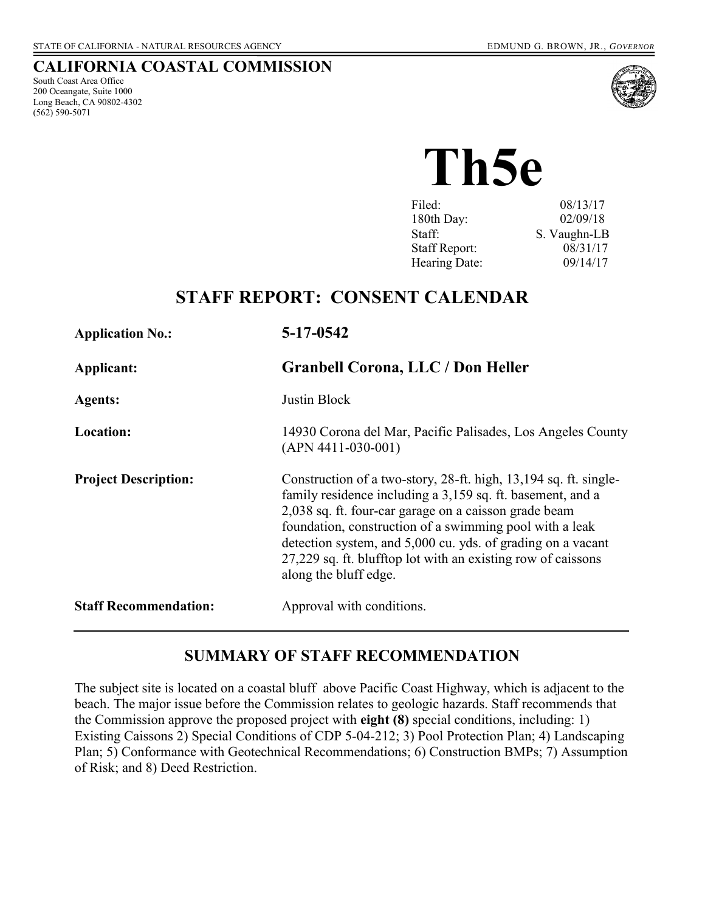#### **CALIFORNIA COASTAL COMMISSION**

South Coast Area Office 200 Oceangate, Suite 1000 Long Beach, CA 90802-4302 (562) 590-5071



**Th5e** 

| Filed:               | 08/13/17     |
|----------------------|--------------|
| 180th Day:           | 02/09/18     |
| Staff:               | S. Vaughn-LB |
| <b>Staff Report:</b> | 08/31/17     |
| Hearing Date:        | 09/14/17     |
|                      |              |

## **STAFF REPORT: CONSENT CALENDAR**

| <b>Application No.:</b>      | 5-17-0542                                                                                                                                                                                                                                                                                                                                                                                                  |
|------------------------------|------------------------------------------------------------------------------------------------------------------------------------------------------------------------------------------------------------------------------------------------------------------------------------------------------------------------------------------------------------------------------------------------------------|
| Applicant:                   | <b>Granbell Corona, LLC / Don Heller</b>                                                                                                                                                                                                                                                                                                                                                                   |
| <b>Agents:</b>               | Justin Block                                                                                                                                                                                                                                                                                                                                                                                               |
| Location:                    | 14930 Corona del Mar, Pacific Palisades, Los Angeles County<br>$(APN 4411-030-001)$                                                                                                                                                                                                                                                                                                                        |
| <b>Project Description:</b>  | Construction of a two-story, 28-ft. high, 13,194 sq. ft. single-<br>family residence including a 3,159 sq. ft. basement, and a<br>2,038 sq. ft. four-car garage on a caisson grade beam<br>foundation, construction of a swimming pool with a leak<br>detection system, and 5,000 cu. yds. of grading on a vacant<br>27,229 sq. ft. blufftop lot with an existing row of caissons<br>along the bluff edge. |
| <b>Staff Recommendation:</b> | Approval with conditions.                                                                                                                                                                                                                                                                                                                                                                                  |

#### **SUMMARY OF STAFF RECOMMENDATION**

The subject site is located on a coastal bluff above Pacific Coast Highway, which is adjacent to the beach. The major issue before the Commission relates to geologic hazards. Staff recommends that the Commission approve the proposed project with **eight (8)** special conditions, including: 1) Existing Caissons 2) Special Conditions of CDP 5-04-212; 3) Pool Protection Plan; 4) Landscaping [Plan; 5\) Conformance with Geotechnical Recommendations; 6\) Construction BMPs; 7\) Assumption](#page-3-0)  of Risk; and 8) Deed Restriction.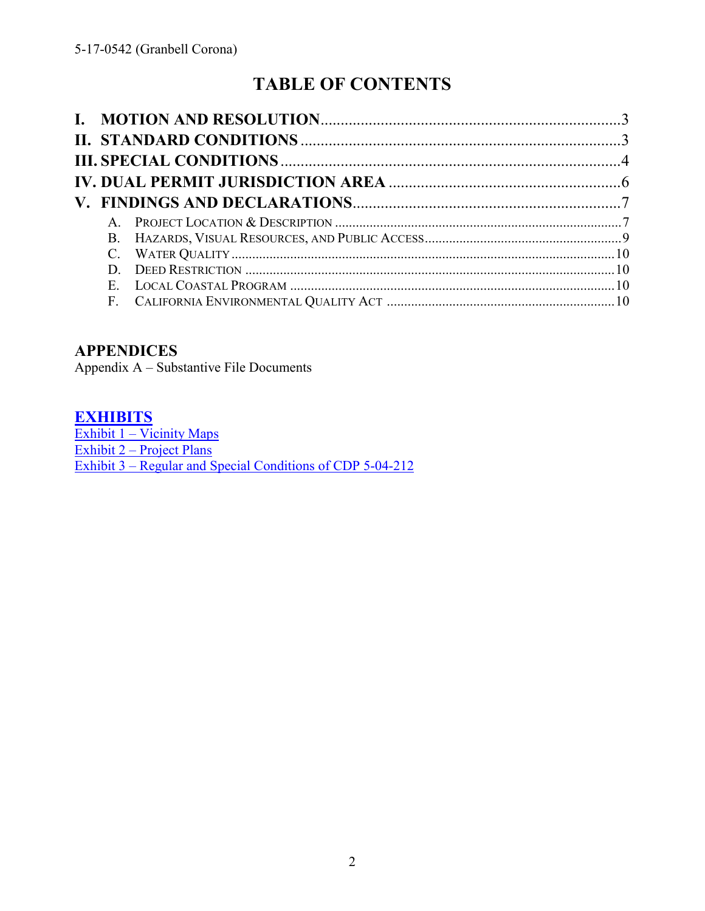# **TABLE OF CONTENTS**

| $A_{\cdot}$ |  |
|-------------|--|
|             |  |
|             |  |
| D.          |  |
| $E_{\cdot}$ |  |
|             |  |

## **APPENDICES**

Appendix A – [Substantive File Documents](#page-10-0) 

### **[EXHIBITS](https://documents.coastal.ca.gov/reports/2017/9/Th5e/Th5e-9-2017-exhibits.pdf)**

Exhibit 1 – Vicinity Maps Exhibit 2 – [Project Plans](https://documents.coastal.ca.gov/reports/2017/9/Th5e/Th5e-9-2017-exhibits.pdf)  Exhibit 3 – [Regular and Special Conditions of CDP 5-04-212](https://documents.coastal.ca.gov/reports/2017/9/Th5e/Th5e-9-2017-exhibits.pdf)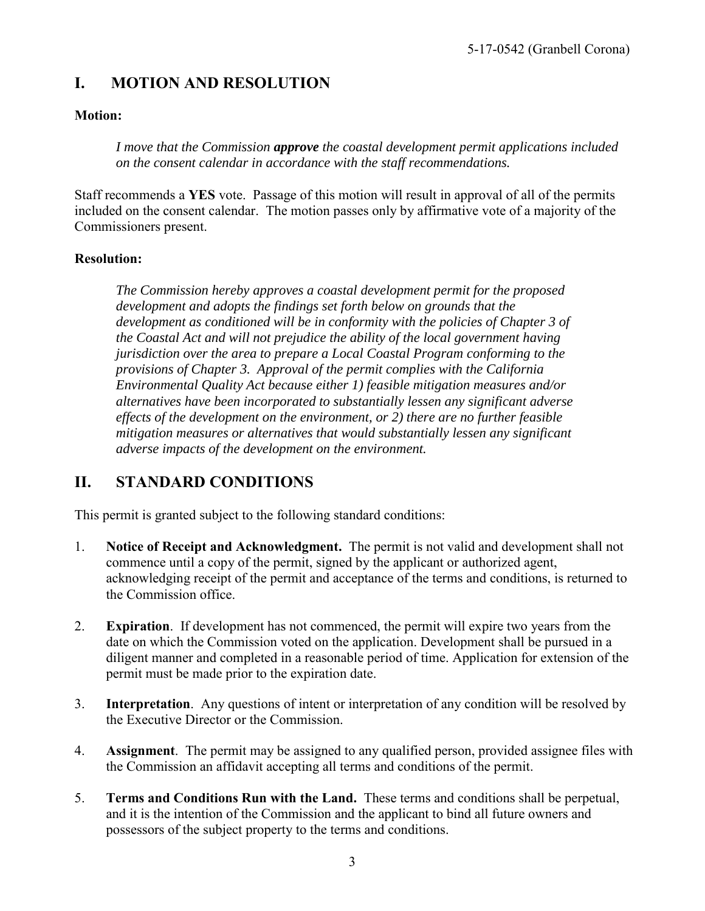## <span id="page-2-0"></span>**I. MOTION AND RESOLUTION**

#### **Motion:**

*I move that the Commission approve the coastal development permit applications included on the consent calendar in accordance with the staff recommendations.*

Staff recommends a **YES** vote. Passage of this motion will result in approval of all of the permits included on the consent calendar. The motion passes only by affirmative vote of a majority of the Commissioners present.

#### **Resolution:**

*The Commission hereby approves a coastal development permit for the proposed development and adopts the findings set forth below on grounds that the development as conditioned will be in conformity with the policies of Chapter 3 of the Coastal Act and will not prejudice the ability of the local government having jurisdiction over the area to prepare a Local Coastal Program conforming to the provisions of Chapter 3. Approval of the permit complies with the California Environmental Quality Act because either 1) feasible mitigation measures and/or alternatives have been incorporated to substantially lessen any significant adverse effects of the development on the environment, or 2) there are no further feasible mitigation measures or alternatives that would substantially lessen any significant adverse impacts of the development on the environment.* 

## **II. STANDARD CONDITIONS**

This permit is granted subject to the following standard conditions:

- 1. **Notice of Receipt and Acknowledgment.** The permit is not valid and development shall not commence until a copy of the permit, signed by the applicant or authorized agent, acknowledging receipt of the permit and acceptance of the terms and conditions, is returned to the Commission office.
- 2. **Expiration**. If development has not commenced, the permit will expire two years from the date on which the Commission voted on the application. Development shall be pursued in a diligent manner and completed in a reasonable period of time. Application for extension of the permit must be made prior to the expiration date.
- 3. **Interpretation**. Any questions of intent or interpretation of any condition will be resolved by the Executive Director or the Commission.
- 4. **Assignment**. The permit may be assigned to any qualified person, provided assignee files with the Commission an affidavit accepting all terms and conditions of the permit.
- 5. **Terms and Conditions Run with the Land.** These terms and conditions shall be perpetual, and it is the intention of the Commission and the applicant to bind all future owners and possessors of the subject property to the terms and conditions.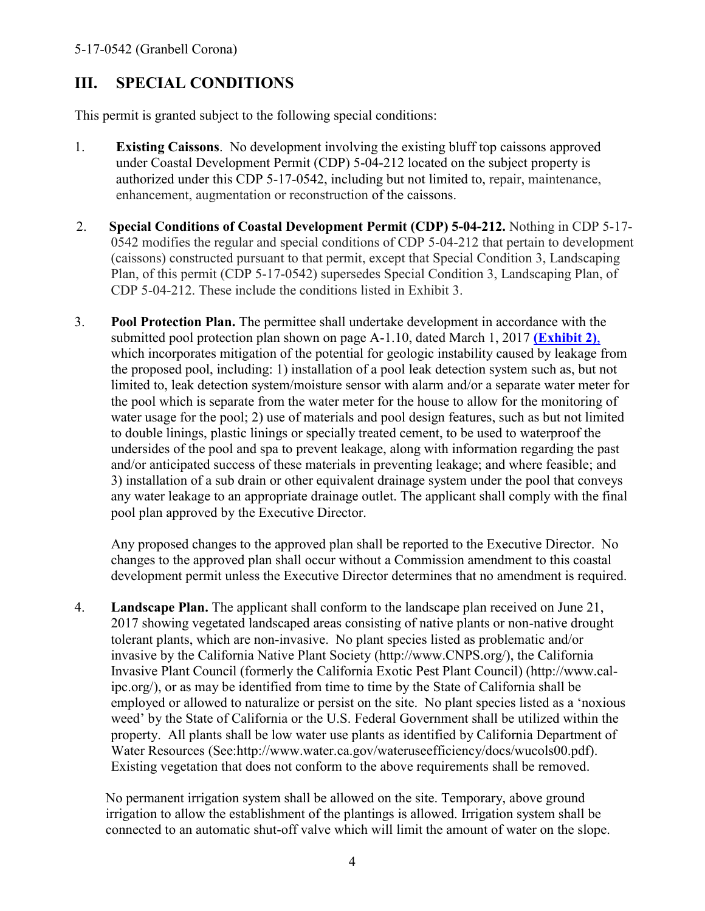## <span id="page-3-0"></span>**III. SPECIAL CONDITIONS**

This permit is granted subject to the following special conditions:

- 1. **Existing Caissons**. No development involving the existing bluff top caissons approved under Coastal Development Permit (CDP) 5-04-212 located on the subject property is authorized under this CDP 5-17-0542, including but not limited to, repair, maintenance, enhancement, augmentation or reconstruction of the caissons.
- 2. **Special Conditions of Coastal Development Permit (CDP) 5-04-212.** Nothing in CDP 5-17- 0542 modifies the regular and special conditions of CDP 5-04-212 that pertain to development (caissons) constructed pursuant to that permit, except that Special Condition 3, Landscaping Plan, of this permit (CDP 5-17-0542) supersedes Special Condition 3, Landscaping Plan, of CDP 5-04-212. These include the conditions listed in Exhibit 3.
- 3. **Pool Protection Plan.** The permittee shall undertake development in accordance with the submitted pool protection plan shown on page A-1.10, dated March 1, 2017 **[\(Exhibit 2\)](https://documents.coastal.ca.gov/reports/2017/9/Th5e/Th5e-9-2017-exhibits.pdf)**, which incorporates mitigation of the potential for geologic instability caused by leakage from the proposed pool, including: 1) installation of a pool leak detection system such as, but not limited to, leak detection system/moisture sensor with alarm and/or a separate water meter for the pool which is separate from the water meter for the house to allow for the monitoring of water usage for the pool; 2) use of materials and pool design features, such as but not limited to double linings, plastic linings or specially treated cement, to be used to waterproof the undersides of the pool and spa to prevent leakage, along with information regarding the past and/or anticipated success of these materials in preventing leakage; and where feasible; and 3) installation of a sub drain or other equivalent drainage system under the pool that conveys any water leakage to an appropriate drainage outlet. The applicant shall comply with the final pool plan approved by the Executive Director.

Any proposed changes to the approved plan shall be reported to the Executive Director. No changes to the approved plan shall occur without a Commission amendment to this coastal development permit unless the Executive Director determines that no amendment is required.

4. **Landscape Plan.** The applicant shall conform to the landscape plan received on June 21, 2017 showing vegetated landscaped areas consisting of native plants or non-native drought tolerant plants, which are non-invasive. No plant species listed as problematic and/or invasive by the California Native Plant Society (http://www.CNPS.org/), the California Invasive Plant Council (formerly the California Exotic Pest Plant Council) (http://www.calipc.org/), or as may be identified from time to time by the State of California shall be employed or allowed to naturalize or persist on the site. No plant species listed as a 'noxious weed' by the State of California or the U.S. Federal Government shall be utilized within the property. All plants shall be low water use plants as identified by California Department of Water Resources (See:http://www.water.ca.gov/wateruseefficiency/docs/wucols00.pdf). Existing vegetation that does not conform to the above requirements shall be removed.

No permanent irrigation system shall be allowed on the site. Temporary, above ground irrigation to allow the establishment of the plantings is allowed. Irrigation system shall be connected to an automatic shut-off valve which will limit the amount of water on the slope.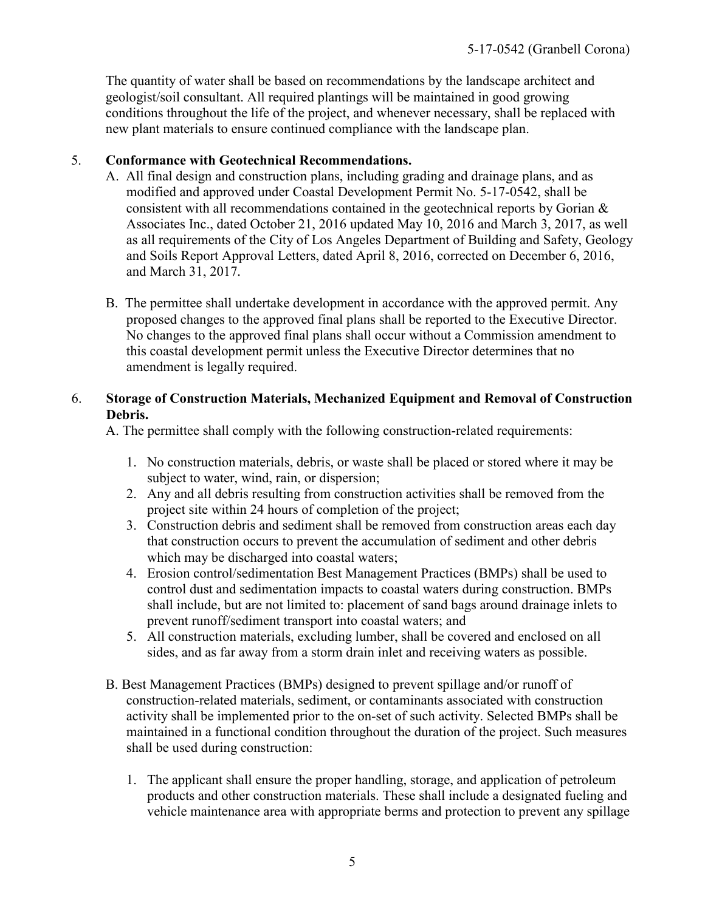The quantity of water shall be based on recommendations by the landscape architect and geologist/soil consultant. All required plantings will be maintained in good growing conditions throughout the life of the project, and whenever necessary, shall be replaced with new plant materials to ensure continued compliance with the landscape plan.

#### 5. **Conformance with Geotechnical Recommendations.**

- A. All final design and construction plans, including grading and drainage plans, and as modified and approved under Coastal Development Permit No. 5-17-0542, shall be consistent with all recommendations contained in the geotechnical reports by Gorian & Associates Inc., dated October 21, 2016 updated May 10, 2016 and March 3, 2017, as well as all requirements of the City of Los Angeles Department of Building and Safety, Geology and Soils Report Approval Letters, dated April 8, 2016, corrected on December 6, 2016, and March 31, 2017*.*
- B. The permittee shall undertake development in accordance with the approved permit. Any proposed changes to the approved final plans shall be reported to the Executive Director. No changes to the approved final plans shall occur without a Commission amendment to this coastal development permit unless the Executive Director determines that no amendment is legally required.

#### 6. **Storage of Construction Materials, Mechanized Equipment and Removal of Construction Debris.**

A. The permittee shall comply with the following construction-related requirements:

- 1. No construction materials, debris, or waste shall be placed or stored where it may be subject to water, wind, rain, or dispersion;
- 2. Any and all debris resulting from construction activities shall be removed from the project site within 24 hours of completion of the project;
- 3. Construction debris and sediment shall be removed from construction areas each day that construction occurs to prevent the accumulation of sediment and other debris which may be discharged into coastal waters;
- 4. Erosion control/sedimentation Best Management Practices (BMPs) shall be used to control dust and sedimentation impacts to coastal waters during construction. BMPs shall include, but are not limited to: placement of sand bags around drainage inlets to prevent runoff/sediment transport into coastal waters; and
- 5. All construction materials, excluding lumber, shall be covered and enclosed on all sides, and as far away from a storm drain inlet and receiving waters as possible.
- B. Best Management Practices (BMPs) designed to prevent spillage and/or runoff of construction-related materials, sediment, or contaminants associated with construction activity shall be implemented prior to the on-set of such activity. Selected BMPs shall be maintained in a functional condition throughout the duration of the project. Such measures shall be used during construction:
	- 1. The applicant shall ensure the proper handling, storage, and application of petroleum products and other construction materials. These shall include a designated fueling and vehicle maintenance area with appropriate berms and protection to prevent any spillage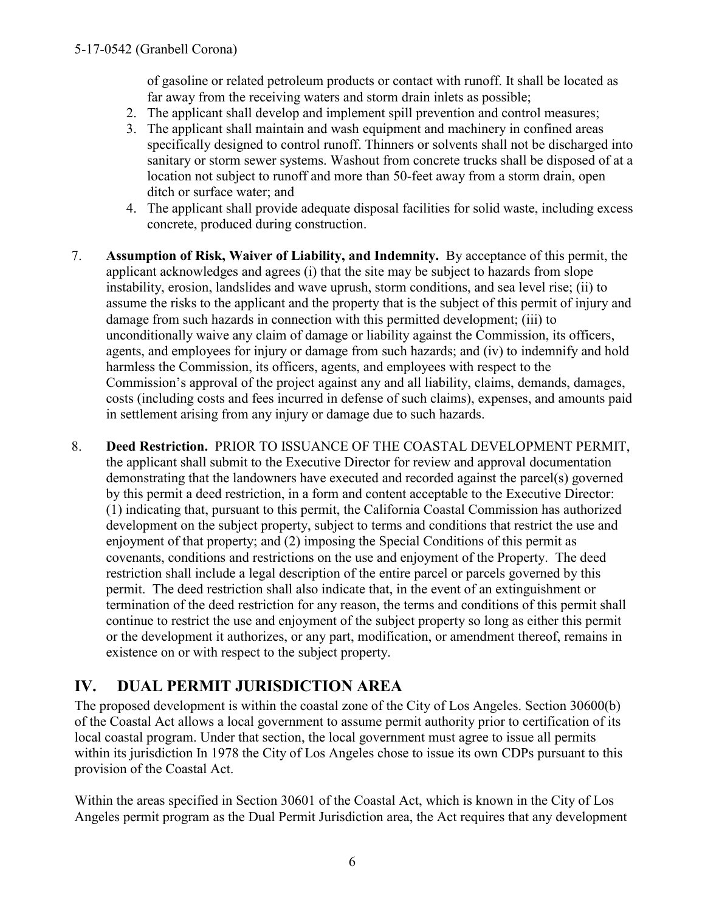<span id="page-5-0"></span>of gasoline or related petroleum products or contact with runoff. It shall be located as far away from the receiving waters and storm drain inlets as possible;

- 2. The applicant shall develop and implement spill prevention and control measures;
- 3. The applicant shall maintain and wash equipment and machinery in confined areas specifically designed to control runoff. Thinners or solvents shall not be discharged into sanitary or storm sewer systems. Washout from concrete trucks shall be disposed of at a location not subject to runoff and more than 50-feet away from a storm drain, open ditch or surface water; and
- 4. The applicant shall provide adequate disposal facilities for solid waste, including excess concrete, produced during construction.
- 7. **Assumption of Risk, Waiver of Liability, and Indemnity.** By acceptance of this permit, the applicant acknowledges and agrees (i) that the site may be subject to hazards from slope instability, erosion, landslides and wave uprush, storm conditions, and sea level rise; (ii) to assume the risks to the applicant and the property that is the subject of this permit of injury and damage from such hazards in connection with this permitted development; (iii) to unconditionally waive any claim of damage or liability against the Commission, its officers, agents, and employees for injury or damage from such hazards; and (iv) to indemnify and hold harmless the Commission, its officers, agents, and employees with respect to the Commission's approval of the project against any and all liability, claims, demands, damages, costs (including costs and fees incurred in defense of such claims), expenses, and amounts paid in settlement arising from any injury or damage due to such hazards.
- 8. **Deed Restriction.** PRIOR TO ISSUANCE OF THE COASTAL DEVELOPMENT PERMIT, the applicant shall submit to the Executive Director for review and approval documentation demonstrating that the landowners have executed and recorded against the parcel(s) governed by this permit a deed restriction, in a form and content acceptable to the Executive Director: (1) indicating that, pursuant to this permit, the California Coastal Commission has authorized development on the subject property, subject to terms and conditions that restrict the use and enjoyment of that property; and (2) imposing the Special Conditions of this permit as covenants, conditions and restrictions on the use and enjoyment of the Property. The deed restriction shall include a legal description of the entire parcel or parcels governed by this permit. The deed restriction shall also indicate that, in the event of an extinguishment or termination of the deed restriction for any reason, the terms and conditions of this permit shall continue to restrict the use and enjoyment of the subject property so long as either this permit or the development it authorizes, or any part, modification, or amendment thereof, remains in existence on or with respect to the subject property.

## **IV. DUAL PERMIT JURISDICTION AREA**

The proposed development is within the coastal zone of the City of Los Angeles. Section 30600(b) of the Coastal Act allows a local government to assume permit authority prior to certification of its local coastal program. Under that section, the local government must agree to issue all permits within its jurisdiction In 1978 the City of Los Angeles chose to issue its own CDPs pursuant to this provision of the Coastal Act.

Within the areas specified in Section 30601 of the Coastal Act, which is known in the City of Los Angeles permit program as the Dual Permit Jurisdiction area, the Act requires that any development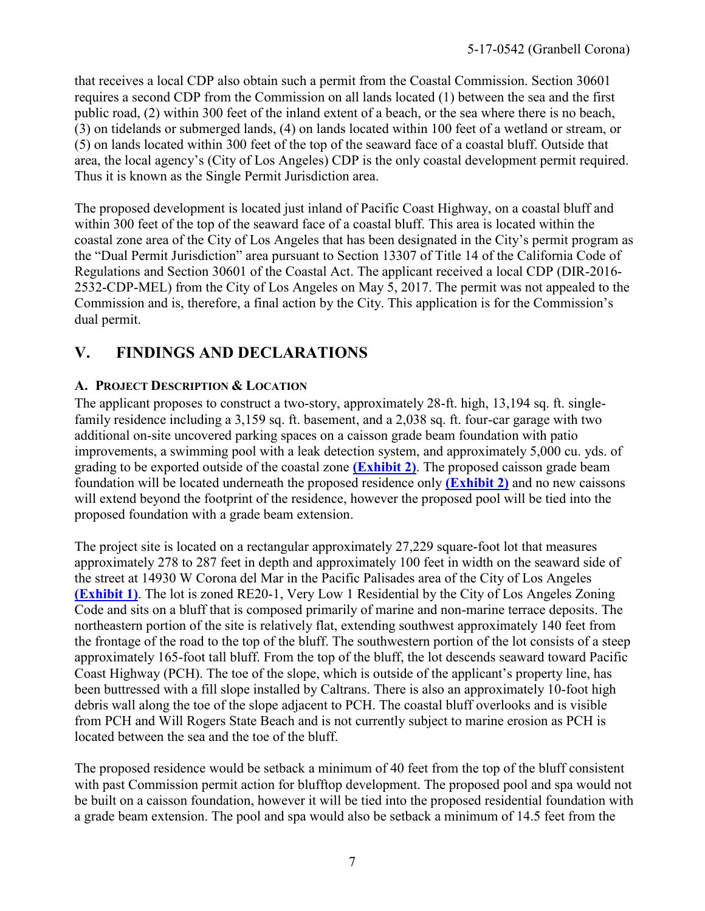<span id="page-6-0"></span>that receives a local CDP also obtain such a permit from the Coastal Commission. Section 30601 requires a second CDP from the Commission on all lands located (1) between the sea and the first public road, (2) within 300 feet of the inland extent of a beach, or the sea where there is no beach, (3) on tidelands or submerged lands, (4) on lands located within 100 feet of a wetland or stream, or (5) on lands located within 300 feet of the top of the seaward face of a coastal bluff. Outside that area, the local agency's (City of Los Angeles) CDP is the only coastal development permit required. Thus it is known as the Single Permit Jurisdiction area.

The proposed development is located just inland of Pacific Coast Highway, on a coastal bluff and within 300 feet of the top of the seaward face of a coastal bluff. This area is located within the coastal zone area of the City of Los Angeles that has been designated in the City's permit program as the "Dual Permit Jurisdiction" area pursuant to Section 13307 of Title 14 of the California Code of Regulations and Section 30601 of the Coastal Act. The applicant received a local CDP (DIR-2016- 2532-CDP-MEL) from the City of Los Angeles on May 5, 2017. The permit was not appealed to the Commission and is, therefore, a final action by the City. This application is for the Commission's dual permit.

## **V. FINDINGS AND DECLARATIONS**

#### **A. PROJECT DESCRIPTION & LOCATION**

The applicant proposes to construct a two-story, approximately 28-ft. high, 13,194 sq. ft. singlefamily residence including a 3,159 sq. ft. basement, and a 2,038 sq. ft. four-car garage with two additional on-site uncovered parking spaces on a caisson grade beam foundation with patio improvements, a swimming pool with a leak detection system, and approximately 5,000 cu. yds. of grading to be exported outside of the coastal zone **[\(Exhibit 2\)](The%20proposed%20development%20is%20within%20the%20coastal%20zone%20of%20the%20City%20of%20Los%20Angeles.%20Section%2030600(b)%20of%20the%20Coastal%20Act%20allows%20a%20local%20government%20to%20assume%20permit%20authority%20prior%20to%20certification%20of%20its%20local%20coastal%20program.%20Under%20that%20section,%20the%20local%20government%20must%20agree%20to%20issue%20all%20permits%20within%20its%20jurisdiction%20In%201978%20the%20City%20of%20Los%20Angeles%20chose%20to%20issue%20its%20own%20CDPs%20pursuant%20to%20this%20provision%20of%20the%20Coastal%20Act.)**. The proposed caisson grade beam foundation will be located underneath the proposed residence only **[\(Exhibit 2\)](The%20proposed%20development%20is%20within%20the%20coastal%20zone%20of%20the%20City%20of%20Los%20Angeles.%20Section%2030600(b)%20of%20the%20Coastal%20Act%20allows%20a%20local%20government%20to%20assume%20permit%20authority%20prior%20to%20certification%20of%20its%20local%20coastal%20program.%20Under%20that%20section,%20the%20local%20government%20must%20agree%20to%20issue%20all%20permits%20within%20its%20jurisdiction%20In%201978%20the%20City%20of%20Los%20Angeles%20chose%20to%20issue%20its%20own%20CDPs%20pursuant%20to%20this%20provision%20of%20the%20Coastal%20Act.)** and no new caissons will extend beyond the footprint of the residence, however the proposed pool will be tied into the proposed foundation with a grade beam extension.

The project site is located on a rectangular approximately 27,229 square-foot lot that measures approximately 278 to 287 feet in depth and approximately 100 feet in width on the seaward side of the street at 14930 W Corona del Mar in the Pacific Palisades area of the City of Los Angeles **[\(Exhibit 1\)](https://documents.coastal.ca.gov/reports/2017/9/Th5d/Th5d-9-2017-exhibits.pdf)**. The lot is zoned RE20-1, Very Low 1 Residential by the City of Los Angeles Zoning Code and sits on a bluff that is composed primarily of marine and non-marine terrace deposits. The northeastern portion of the site is relatively flat, extending southwest approximately 140 feet from the frontage of the road to the top of the bluff. The southwestern portion of the lot consists of a steep approximately 165-foot tall bluff. From the top of the bluff, the lot descends seaward toward Pacific Coast Highway (PCH). The toe of the slope, which is outside of the applicant's property line, has been buttressed with a fill slope installed by Caltrans. There is also an approximately 10-foot high debris wall along the toe of the slope adjacent to PCH. The coastal bluff overlooks and is visible from PCH and Will Rogers State Beach and is not currently subject to marine erosion as PCH is located between the sea and the toe of the bluff.

The proposed residence would be setback a minimum of 40 feet from the top of the bluff consistent with past Commission permit action for blufftop development. The proposed pool and spa would not be built on a caisson foundation, however it will be tied into the proposed residential foundation with a grade beam extension. The pool and spa would also be setback a minimum of 14.5 feet from the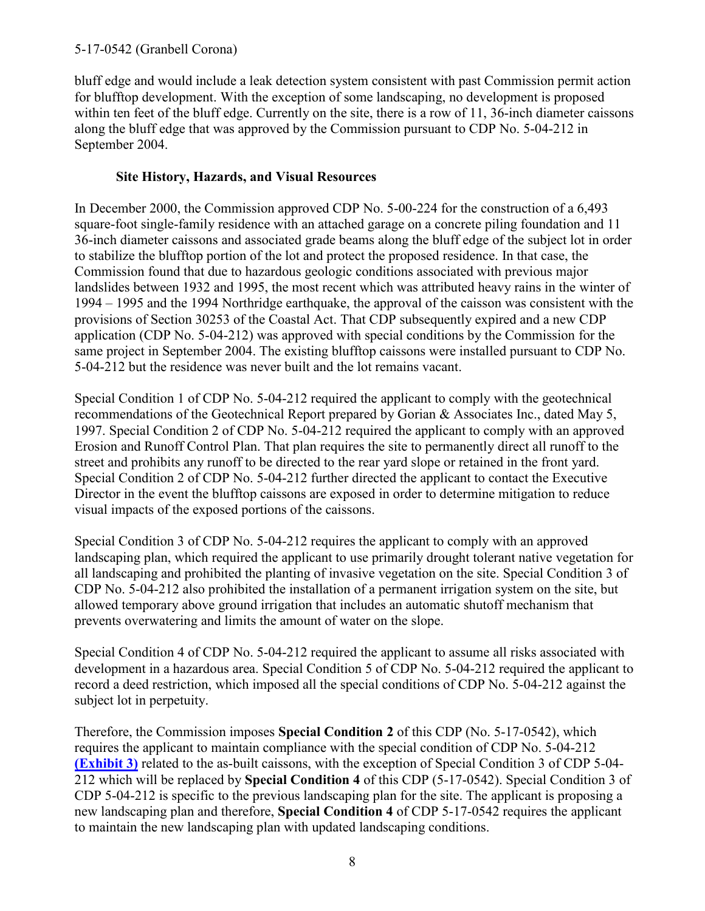bluff edge and would include a leak detection system consistent with past Commission permit action for blufftop development. With the exception of some landscaping, no development is proposed within ten feet of the bluff edge. Currently on the site, there is a row of 11, 36-inch diameter caissons along the bluff edge that was approved by the Commission pursuant to CDP No. 5-04-212 in September 2004.

### **Site History, Hazards, and Visual Resources**

In December 2000, the Commission approved CDP No. 5-00-224 for the construction of a 6,493 square-foot single-family residence with an attached garage on a concrete piling foundation and 11 36-inch diameter caissons and associated grade beams along the bluff edge of the subject lot in order to stabilize the blufftop portion of the lot and protect the proposed residence. In that case, the Commission found that due to hazardous geologic conditions associated with previous major landslides between 1932 and 1995, the most recent which was attributed heavy rains in the winter of 1994 – 1995 and the 1994 Northridge earthquake, the approval of the caisson was consistent with the provisions of Section 30253 of the Coastal Act. That CDP subsequently expired and a new CDP application (CDP No. 5-04-212) was approved with special conditions by the Commission for the same project in September 2004. The existing blufftop caissons were installed pursuant to CDP No. 5-04-212 but the residence was never built and the lot remains vacant.

Special Condition 1 of CDP No. 5-04-212 required the applicant to comply with the geotechnical recommendations of the Geotechnical Report prepared by Gorian & Associates Inc., dated May 5, 1997. Special Condition 2 of CDP No. 5-04-212 required the applicant to comply with an approved Erosion and Runoff Control Plan. That plan requires the site to permanently direct all runoff to the street and prohibits any runoff to be directed to the rear yard slope or retained in the front yard. Special Condition 2 of CDP No. 5-04-212 further directed the applicant to contact the Executive Director in the event the blufftop caissons are exposed in order to determine mitigation to reduce visual impacts of the exposed portions of the caissons.

Special Condition 3 of CDP No. 5-04-212 requires the applicant to comply with an approved landscaping plan, which required the applicant to use primarily drought tolerant native vegetation for all landscaping and prohibited the planting of invasive vegetation on the site. Special Condition 3 of CDP No. 5-04-212 also prohibited the installation of a permanent irrigation system on the site, but allowed temporary above ground irrigation that includes an automatic shutoff mechanism that prevents overwatering and limits the amount of water on the slope.

Special Condition 4 of CDP No. 5-04-212 required the applicant to assume all risks associated with development in a hazardous area. Special Condition 5 of CDP No. 5-04-212 required the applicant to record a deed restriction, which imposed all the special conditions of CDP No. 5-04-212 against the subject lot in perpetuity.

Therefore, the Commission imposes **Special Condition 2** of this CDP (No. 5-17-0542), which requires the applicant to maintain compliance with the special condition of CDP No. 5-04-212 **[\(Exhibit 3\)](https://documents.coastal.ca.gov/reports/2017/9/Th5e/Th5e-9-2017-exhibits.pdf)** related to the as-built caissons, with the exception of Special Condition 3 of CDP 5-04- 212 which will be replaced by **Special Condition 4** of this CDP (5-17-0542). Special Condition 3 of CDP 5-04-212 is specific to the previous landscaping plan for the site. The applicant is proposing a new landscaping plan and therefore, **Special Condition 4** of CDP 5-17-0542 requires the applicant to maintain the new landscaping plan with updated landscaping conditions.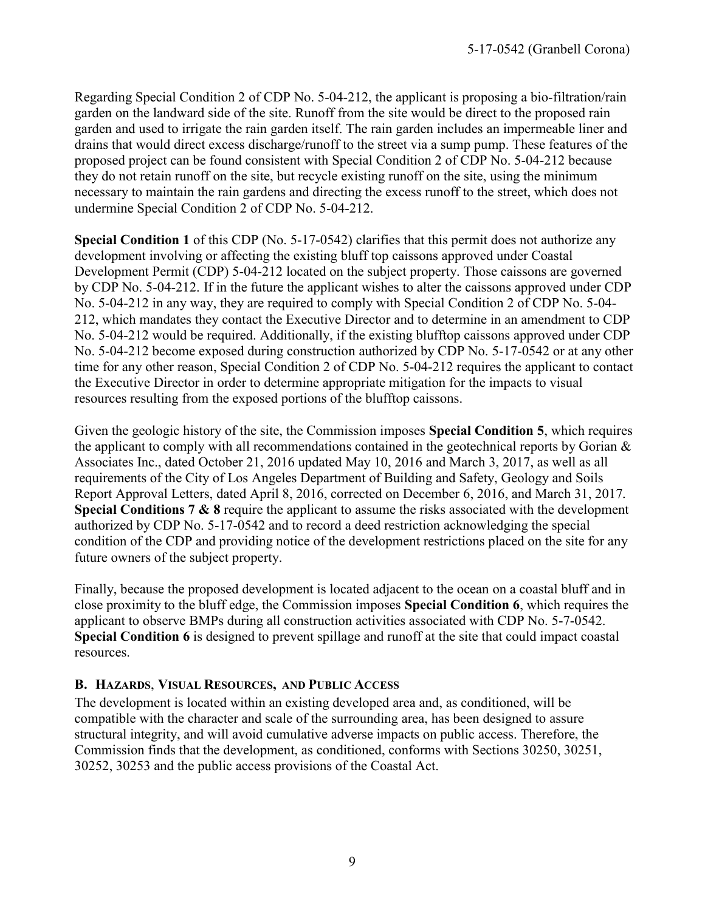<span id="page-8-0"></span>Regarding Special Condition 2 of CDP No. 5-04-212, the applicant is proposing a bio-filtration/rain garden on the landward side of the site. Runoff from the site would be direct to the proposed rain garden and used to irrigate the rain garden itself. The rain garden includes an impermeable liner and drains that would direct excess discharge/runoff to the street via a sump pump. These features of the proposed project can be found consistent with Special Condition 2 of CDP No. 5-04-212 because they do not retain runoff on the site, but recycle existing runoff on the site, using the minimum necessary to maintain the rain gardens and directing the excess runoff to the street, which does not undermine Special Condition 2 of CDP No. 5-04-212.

**Special Condition 1** of this CDP (No. 5-17-0542) clarifies that this permit does not authorize any development involving or affecting the existing bluff top caissons approved under Coastal Development Permit (CDP) 5-04-212 located on the subject property. Those caissons are governed by CDP No. 5-04-212. If in the future the applicant wishes to alter the caissons approved under CDP No. 5-04-212 in any way, they are required to comply with Special Condition 2 of CDP No. 5-04- 212, which mandates they contact the Executive Director and to determine in an amendment to CDP No. 5-04-212 would be required. Additionally, if the existing blufftop caissons approved under CDP No. 5-04-212 become exposed during construction authorized by CDP No. 5-17-0542 or at any other time for any other reason, Special Condition 2 of CDP No. 5-04-212 requires the applicant to contact the Executive Director in order to determine appropriate mitigation for the impacts to visual resources resulting from the exposed portions of the blufftop caissons.

Given the geologic history of the site, the Commission imposes **Special Condition 5**, which requires the applicant to comply with all recommendations contained in the geotechnical reports by Gorian  $\&$ Associates Inc., dated October 21, 2016 updated May 10, 2016 and March 3, 2017, as well as all requirements of the City of Los Angeles Department of Building and Safety, Geology and Soils Report Approval Letters, dated April 8, 2016, corrected on December 6, 2016, and March 31, 2017*.* **Special Conditions 7 & 8** require the applicant to assume the risks associated with the development authorized by CDP No. 5-17-0542 and to record a deed restriction acknowledging the special condition of the CDP and providing notice of the development restrictions placed on the site for any future owners of the subject property.

Finally, because the proposed development is located adjacent to the ocean on a coastal bluff and in close proximity to the bluff edge, the Commission imposes **Special Condition 6**, which requires the applicant to observe BMPs during all construction activities associated with CDP No. 5-7-0542. **Special Condition 6** is designed to prevent spillage and runoff at the site that could impact coastal resources.

#### **B. HAZARDS**, **VISUAL RESOURCES, AND PUBLIC ACCESS**

The development is located within an existing developed area and, as conditioned, will be compatible with the character and scale of the surrounding area, has been designed to assure structural integrity, and will avoid cumulative adverse impacts on public access. Therefore, the Commission finds that the development, as conditioned, conforms with Sections 30250, 30251, 30252, 30253 and the public access provisions of the Coastal Act.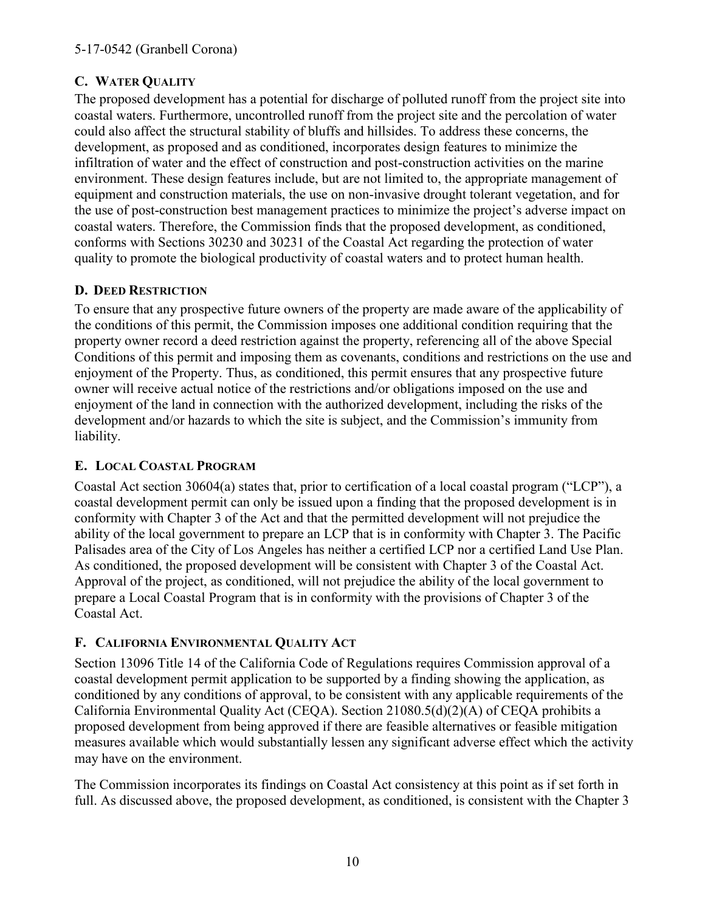### <span id="page-9-0"></span>**C. WATER QUALITY**

The proposed development has a potential for discharge of polluted runoff from the project site into coastal waters. Furthermore, uncontrolled runoff from the project site and the percolation of water could also affect the structural stability of bluffs and hillsides. To address these concerns, the development, as proposed and as conditioned, incorporates design features to minimize the infiltration of water and the effect of construction and post-construction activities on the marine environment. These design features include, but are not limited to, the appropriate management of equipment and construction materials, the use on non-invasive drought tolerant vegetation, and for the use of post-construction best management practices to minimize the project's adverse impact on coastal waters. Therefore, the Commission finds that the proposed development, as conditioned, conforms with Sections 30230 and 30231 of the Coastal Act regarding the protection of water quality to promote the biological productivity of coastal waters and to protect human health.

### **D. DEED RESTRICTION**

To ensure that any prospective future owners of the property are made aware of the applicability of the conditions of this permit, the Commission imposes one additional condition requiring that the property owner record a deed restriction against the property, referencing all of the above Special Conditions of this permit and imposing them as covenants, conditions and restrictions on the use and enjoyment of the Property. Thus, as conditioned, this permit ensures that any prospective future owner will receive actual notice of the restrictions and/or obligations imposed on the use and enjoyment of the land in connection with the authorized development, including the risks of the development and/or hazards to which the site is subject, and the Commission's immunity from liability.

### **E. LOCAL COASTAL PROGRAM**

Coastal Act section 30604(a) states that, prior to certification of a local coastal program ("LCP"), a coastal development permit can only be issued upon a finding that the proposed development is in conformity with Chapter 3 of the Act and that the permitted development will not prejudice the ability of the local government to prepare an LCP that is in conformity with Chapter 3. The Pacific Palisades area of the City of Los Angeles has neither a certified LCP nor a certified Land Use Plan. As conditioned, the proposed development will be consistent with Chapter 3 of the Coastal Act. Approval of the project, as conditioned, will not prejudice the ability of the local government to prepare a Local Coastal Program that is in conformity with the provisions of Chapter 3 of the Coastal Act.

### **F. CALIFORNIA ENVIRONMENTAL QUALITY ACT**

Section 13096 Title 14 of the California Code of Regulations requires Commission approval of a coastal development permit application to be supported by a finding showing the application, as conditioned by any conditions of approval, to be consistent with any applicable requirements of the California Environmental Quality Act (CEQA). Section 21080.5(d)(2)(A) of CEQA prohibits a proposed development from being approved if there are feasible alternatives or feasible mitigation measures available which would substantially lessen any significant adverse effect which the activity may have on the environment.

The Commission incorporates its findings on Coastal Act consistency at this point as if set forth in full. As discussed above, the proposed development, as conditioned, is consistent with the Chapter 3